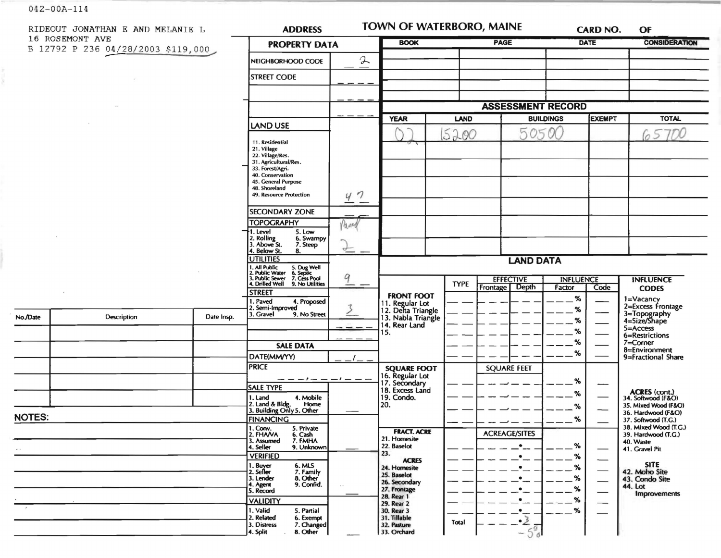$042 - 00A - 114$ 

|                                                       | RIDEOUT JONATHAN E AND MELANIE L |                 | <b>ADDRESS</b>                                                                                                                        |               | <b>TOWN OF WATERBORO, MAINE</b>                             |             |                                       |               | <b>CARD NO.</b>          | OF                                           |
|-------------------------------------------------------|----------------------------------|-----------------|---------------------------------------------------------------------------------------------------------------------------------------|---------------|-------------------------------------------------------------|-------------|---------------------------------------|---------------|--------------------------|----------------------------------------------|
| 16 ROSEMONT AVE<br>B 12792 P 236 04/28/2003 \$119,000 |                                  |                 | <b>PROPERTY DATA</b>                                                                                                                  |               | <b>BOOK</b>                                                 | <b>PAGE</b> |                                       |               | <b>DATE</b>              | <b>CONSIDERATION</b>                         |
|                                                       |                                  |                 | NEIGHBORHOOD CODE                                                                                                                     | $\rightarrow$ |                                                             |             |                                       |               |                          |                                              |
|                                                       |                                  |                 | <b>STREET CODE</b>                                                                                                                    |               |                                                             |             |                                       |               |                          |                                              |
|                                                       |                                  |                 |                                                                                                                                       |               |                                                             |             |                                       |               |                          |                                              |
|                                                       |                                  |                 |                                                                                                                                       |               |                                                             |             | <b>ASSESSMENT RECORD</b>              |               |                          |                                              |
|                                                       |                                  |                 |                                                                                                                                       | <b>YEAR</b>   | <b>BUILDINGS</b><br>LAND                                    |             |                                       | <b>EXEMPT</b> | <b>TOTAL</b>             |                                              |
|                                                       |                                  |                 | <b>LAND USE</b>                                                                                                                       |               |                                                             | 5200        | 50500                                 |               |                          | 6570                                         |
|                                                       |                                  | 11. Residential |                                                                                                                                       |               |                                                             |             |                                       |               |                          |                                              |
|                                                       |                                  |                 | 21. Village<br>22. Village/Res.                                                                                                       |               |                                                             |             |                                       |               |                          |                                              |
|                                                       |                                  |                 | 31. Agricultural/Res.<br>33. Forest/Agri.                                                                                             |               |                                                             |             |                                       |               |                          |                                              |
|                                                       |                                  |                 | 40. Conservation<br>45. General Purpose                                                                                               |               |                                                             |             |                                       |               |                          |                                              |
|                                                       |                                  |                 | 48. Shoreland<br>49. Resource Protection                                                                                              | 47            |                                                             |             |                                       |               |                          |                                              |
|                                                       |                                  |                 | <b>SECONDARY ZONE</b>                                                                                                                 |               |                                                             |             |                                       |               |                          |                                              |
|                                                       |                                  |                 | <b>TOPOGRAPHY</b>                                                                                                                     | Pased         |                                                             |             |                                       |               |                          |                                              |
|                                                       |                                  |                 | I. Level<br>5. Low<br>6. Swampy                                                                                                       |               |                                                             |             |                                       |               |                          |                                              |
|                                                       |                                  |                 | 2. Rolling<br>3. Above St.<br>7. Steep<br>4. Below St.<br>8.                                                                          | $\rightarrow$ |                                                             |             |                                       |               |                          |                                              |
|                                                       |                                  |                 | <b>UTILITIES</b>                                                                                                                      | 9             | <b>LAND DATA</b>                                            |             |                                       |               |                          |                                              |
|                                                       |                                  |                 | 1. All Public<br>2. Public Water<br>3. Public Sewer<br>4. Drilled Well<br>5. Dug Well<br>6. Septic<br>7. Cess Pool<br>9. No Utilities |               | <b>INFLUENCE</b>                                            |             |                                       |               |                          |                                              |
|                                                       |                                  |                 |                                                                                                                                       |               |                                                             | <b>TYPE</b> | <b>EFFECTIVE</b><br>Depth<br>Frontage | Factor        | Code                     | <b>INFLUENCE</b><br><b>CODES</b>             |
|                                                       |                                  |                 | <b>STREET</b><br>1. Paved<br>4. Proposed                                                                                              |               | <b>FRONT FOOT</b>                                           |             |                                       | $\%$          |                          | 1=Vacancy<br>2=Excess Frontage               |
|                                                       | Description                      | Date Insp.      | 2. Semi-Improved<br>3. Gravel<br>9. No Street                                                                                         |               | 11. Regular Lot<br>12. Delta Triangle<br>13. Nabla Triangle |             |                                       | %             |                          |                                              |
| No./Date                                              |                                  |                 |                                                                                                                                       |               | 14. Rear Land                                               |             |                                       | %             |                          | 3=Topography<br>4=Size/Shape<br>$5 =$ Access |
|                                                       |                                  |                 |                                                                                                                                       |               | 15.                                                         |             |                                       | %             |                          | 6=Restrictions                               |
|                                                       |                                  |                 | <b>SALE DATA</b>                                                                                                                      |               |                                                             |             |                                       | %<br>%        |                          | 7=Corner<br>8=Environment                    |
|                                                       |                                  |                 | DATE(MM/YY)                                                                                                                           |               |                                                             |             |                                       |               |                          | 9=Fractional Share                           |
|                                                       |                                  |                 | <b>PRICE</b>                                                                                                                          |               | <b>SQUARE FOOT</b>                                          |             | <b>SQUARE FEET</b>                    |               |                          |                                              |
|                                                       |                                  |                 | <b>SALE TYPE</b>                                                                                                                      | $-1$ $ -$     | 16. Regular Lot<br>17. Secondary<br>18. Excess Land         |             |                                       | %             | ---                      |                                              |
|                                                       |                                  |                 | 4. Mobile<br>1. Land                                                                                                                  |               | 19. Condo.                                                  |             |                                       | ℅             |                          | ACRES (cont.)<br>34. Softwood (F&O)          |
|                                                       |                                  |                 | 2. Land & Bldg. Home<br>3. Building Only 5. Other<br>Home                                                                             |               | 20.                                                         |             |                                       | %             |                          | 35. Mixed Wood (F&O)<br>36. Hardwood (F&O)   |
| <b>NOTES:</b>                                         |                                  |                 | <b>FINANCING</b>                                                                                                                      |               |                                                             |             |                                       | %             |                          | 37. Softwood (T.G.)<br>38. Mixed Wood (T.G.) |
|                                                       |                                  |                 | 1. Conv.<br>5. Private<br>2. FHAVA<br>6. Cash<br>7. FMHA<br>3. Assumed                                                                |               | <b>FRACT. ACRE</b><br>21. Homesite                          |             | <b>ACREAGE/SITES</b>                  |               |                          | 39. Hardwood (T.G.)                          |
|                                                       |                                  |                 | 4. Seller<br>9. Unknown                                                                                                               |               | 22. Baselot<br>23.                                          |             | $\bullet$                             | $\%$          |                          | 40. Waste<br>41. Gravel Pit                  |
|                                                       |                                  |                 | <b>VERIFIED</b><br>1. Buyer<br>6. MLS                                                                                                 |               | <b>ACRES</b>                                                |             |                                       | %             |                          | <b>SITE</b>                                  |
|                                                       |                                  |                 | 2. Seller<br>7. Family<br>3. Lender                                                                                                   |               | 24. Homesite<br>25. Baselot                                 |             | $\bullet$                             | %<br>%        |                          | 42. Moho Site                                |
|                                                       |                                  |                 | 8. Other<br>9. Confid.<br>4. Agent                                                                                                    |               | 26. Secondary<br>27. Frontage                               |             | ٠<br>٠                                | %             | $\overline{\phantom{0}}$ | 43. Condo Site<br>44. Lot                    |
|                                                       |                                  |                 | 5. Record<br><b>VALIDITY</b>                                                                                                          |               | 28. Rear 1                                                  |             | ٠                                     |               |                          | <b>Improvements</b>                          |
|                                                       |                                  |                 | 1. Valid<br>5. Partial                                                                                                                |               | 29. Rear 2<br>30. Rear 3                                    |             | $\cdot$                               | %             | —                        |                                              |
|                                                       |                                  |                 | 2. Related<br>6. Exempt<br>7. Changed<br>3. Distress                                                                                  |               | 31. Tillable<br>32. Pasture                                 | Total       | $\cdot \overline{2}$                  |               |                          |                                              |
|                                                       |                                  |                 | 8. Other<br>4. Split                                                                                                                  |               | 33. Orchard                                                 |             | $-5$                                  |               |                          |                                              |